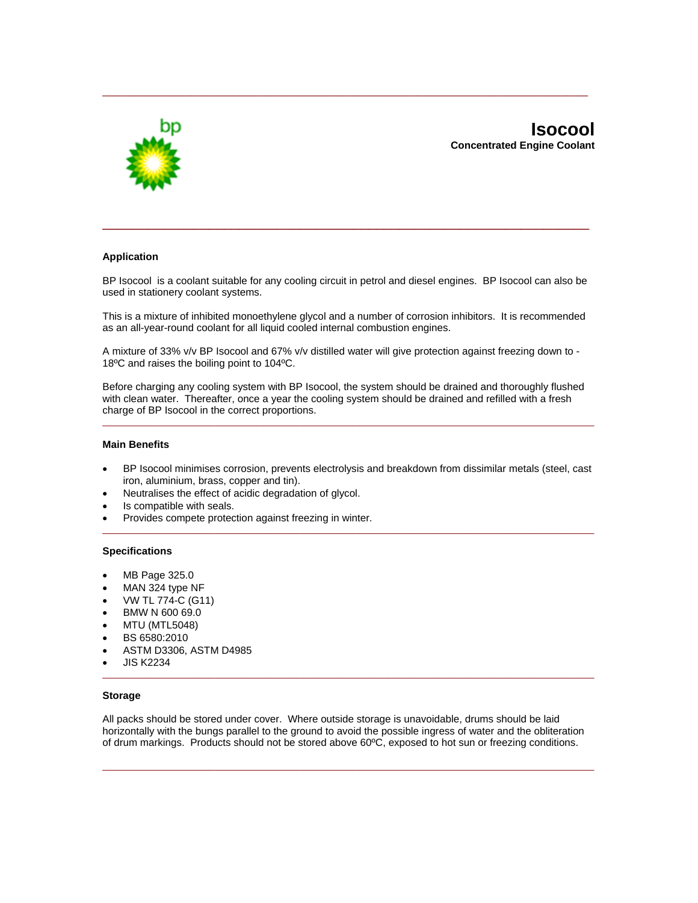

# **Application**

BP Isocool is a coolant suitable for any cooling circuit in petrol and diesel engines. BP Isocool can also be used in stationery coolant systems.

\_\_\_\_\_\_\_\_\_\_\_\_\_\_\_\_\_\_\_\_\_\_\_\_\_\_\_\_\_\_\_\_\_\_\_\_\_\_\_\_\_\_\_\_\_\_\_\_\_\_\_\_\_\_\_\_\_\_\_\_\_\_\_\_

\_\_\_\_\_\_\_\_\_\_\_\_\_\_\_\_\_\_\_\_\_\_\_\_\_\_\_\_\_\_\_\_\_\_\_\_\_\_\_\_\_\_\_\_\_\_\_\_\_\_\_\_\_\_\_\_\_\_\_\_\_\_\_\_\_\_\_\_\_\_\_

This is a mixture of inhibited monoethylene glycol and a number of corrosion inhibitors. It is recommended as an all-year-round coolant for all liquid cooled internal combustion engines.

A mixture of 33% v/v BP Isocool and 67% v/v distilled water will give protection against freezing down to - 18ºC and raises the boiling point to 104ºC.

Before charging any cooling system with BP Isocool, the system should be drained and thoroughly flushed with clean water. Thereafter, once a year the cooling system should be drained and refilled with a fresh charge of BP Isocool in the correct proportions.

 $\_$  ,  $\_$  ,  $\_$  ,  $\_$  ,  $\_$  ,  $\_$  ,  $\_$  ,  $\_$  ,  $\_$  ,  $\_$  ,  $\_$  ,  $\_$  ,  $\_$  ,  $\_$  ,  $\_$  ,  $\_$  ,  $\_$  ,  $\_$  ,  $\_$  ,  $\_$ 

# **Main Benefits**

• BP Isocool minimises corrosion, prevents electrolysis and breakdown from dissimilar metals (steel, cast iron, aluminium, brass, copper and tin).

 $\Box$ 

- Neutralises the effect of acidic degradation of glycol.
- Is compatible with seals.
- Provides compete protection against freezing in winter.

### **Specifications**

- MB Page 325.0
- MAN 324 type NF
- VW TL 774-C (G11)
- BMW N 600 69.0
- MTU (MTL5048)
- BS 6580:2010
- ASTM D3306, ASTM D4985
- JIS K2234

### **Storage**

All packs should be stored under cover. Where outside storage is unavoidable, drums should be laid horizontally with the bungs parallel to the ground to avoid the possible ingress of water and the obliteration of drum markings. Products should not be stored above 60ºC, exposed to hot sun or freezing conditions.

 $\Box$ 

 $\Box$